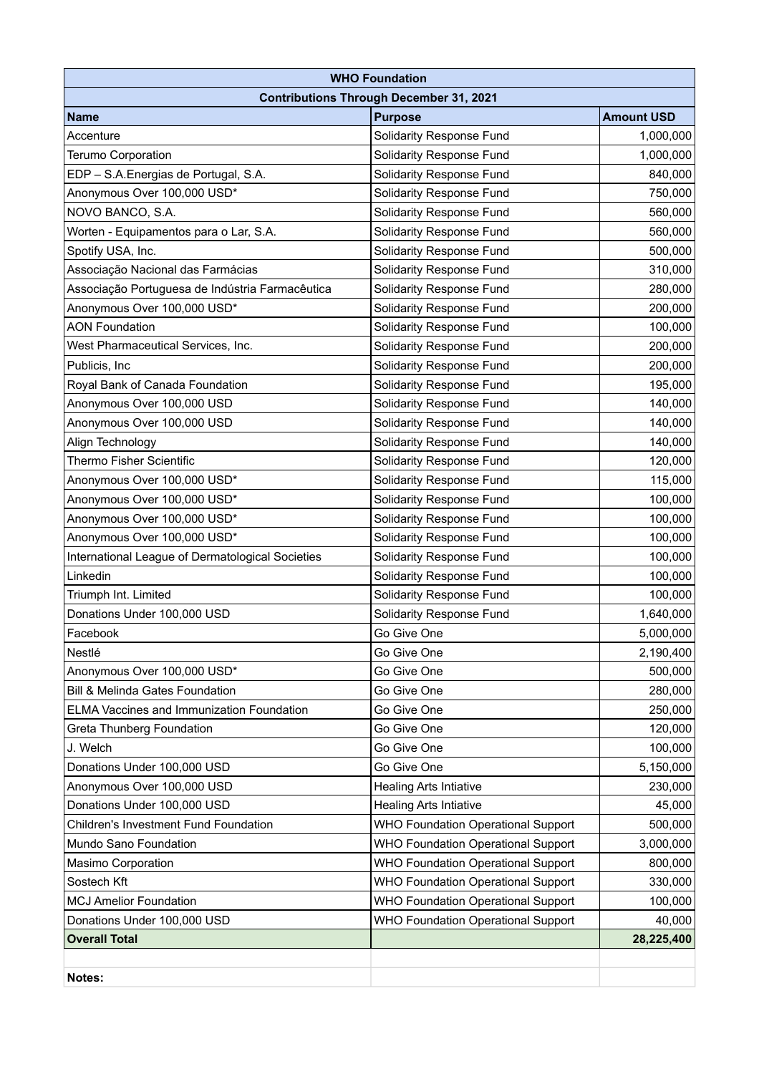| <b>WHO Foundation</b>                            |                                           |                   |
|--------------------------------------------------|-------------------------------------------|-------------------|
| <b>Contributions Through December 31, 2021</b>   |                                           |                   |
| <b>Name</b>                                      | <b>Purpose</b>                            | <b>Amount USD</b> |
| Accenture                                        | Solidarity Response Fund                  | 1,000,000         |
| Terumo Corporation                               | Solidarity Response Fund                  | 1,000,000         |
| EDP - S.A. Energias de Portugal, S.A.            | Solidarity Response Fund                  | 840,000           |
| Anonymous Over 100,000 USD*                      | Solidarity Response Fund                  | 750,000           |
| NOVO BANCO, S.A.                                 | <b>Solidarity Response Fund</b>           | 560,000           |
| Worten - Equipamentos para o Lar, S.A.           | Solidarity Response Fund                  | 560,000           |
| Spotify USA, Inc.                                | <b>Solidarity Response Fund</b>           | 500,000           |
| Associação Nacional das Farmácias                | Solidarity Response Fund                  | 310,000           |
| Associação Portuguesa de Indústria Farmacêutica  | Solidarity Response Fund                  | 280,000           |
| Anonymous Over 100,000 USD*                      | Solidarity Response Fund                  | 200,000           |
| <b>AON Foundation</b>                            | Solidarity Response Fund                  | 100,000           |
| West Pharmaceutical Services, Inc.               | Solidarity Response Fund                  | 200,000           |
| Publicis, Inc.                                   | <b>Solidarity Response Fund</b>           | 200,000           |
| Royal Bank of Canada Foundation                  | Solidarity Response Fund                  | 195,000           |
| Anonymous Over 100,000 USD                       | Solidarity Response Fund                  | 140,000           |
| Anonymous Over 100,000 USD                       | Solidarity Response Fund                  | 140,000           |
| Align Technology                                 | Solidarity Response Fund                  | 140,000           |
| <b>Thermo Fisher Scientific</b>                  | Solidarity Response Fund                  | 120,000           |
| Anonymous Over 100,000 USD*                      | Solidarity Response Fund                  | 115,000           |
| Anonymous Over 100,000 USD*                      | Solidarity Response Fund                  | 100,000           |
| Anonymous Over 100,000 USD*                      | Solidarity Response Fund                  | 100,000           |
| Anonymous Over 100,000 USD*                      | Solidarity Response Fund                  | 100,000           |
| International League of Dermatological Societies | Solidarity Response Fund                  | 100,000           |
| Linkedin                                         | Solidarity Response Fund                  | 100,000           |
| Triumph Int. Limited                             | <b>Solidarity Response Fund</b>           | 100,000           |
| Donations Under 100,000 USD                      | <b>Solidarity Response Fund</b>           | 1,640,000         |
| Facebook                                         | Go Give One                               | 5,000,000         |
| Nestlé                                           | Go Give One                               | 2,190,400         |
| Anonymous Over 100,000 USD*                      | Go Give One                               | 500,000           |
| Bill & Melinda Gates Foundation                  | Go Give One                               | 280,000           |
| <b>ELMA Vaccines and Immunization Foundation</b> | Go Give One                               | 250,000           |
| Greta Thunberg Foundation                        | Go Give One                               | 120,000           |
| J. Welch                                         | Go Give One                               | 100,000           |
| Donations Under 100,000 USD                      | Go Give One                               | 5,150,000         |
| Anonymous Over 100,000 USD                       | <b>Healing Arts Intiative</b>             | 230,000           |
| Donations Under 100,000 USD                      | <b>Healing Arts Intiative</b>             | 45,000            |
| <b>Children's Investment Fund Foundation</b>     | <b>WHO Foundation Operational Support</b> | 500,000           |
| Mundo Sano Foundation                            | <b>WHO Foundation Operational Support</b> | 3,000,000         |
| Masimo Corporation                               | <b>WHO Foundation Operational Support</b> | 800,000           |
| Sostech Kft                                      | <b>WHO Foundation Operational Support</b> | 330,000           |
| <b>MCJ Amelior Foundation</b>                    | <b>WHO Foundation Operational Support</b> | 100,000           |
| Donations Under 100,000 USD                      | <b>WHO Foundation Operational Support</b> | 40,000            |
| <b>Overall Total</b>                             |                                           | 28,225,400        |
|                                                  |                                           |                   |
| Notes:                                           |                                           |                   |